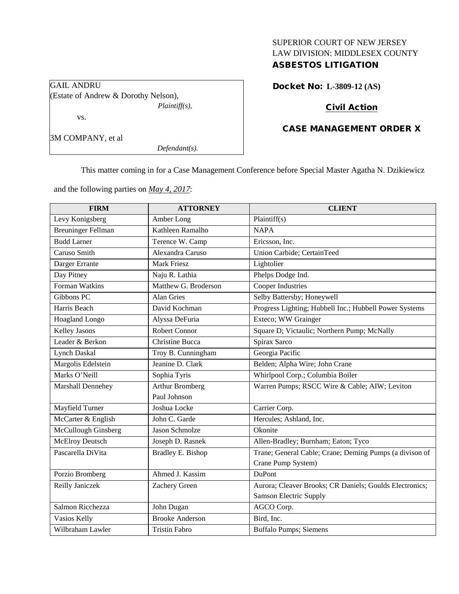# SUPERIOR COURT OF NEW JERSEY LAW DIVISION: MIDDLESEX COUNTY ASBESTOS LITIGATION

| GAIL ANDRU                           |  |  |  |  |
|--------------------------------------|--|--|--|--|
| (Estate of Andrew & Dorothy Nelson), |  |  |  |  |
| <i>Plaintiff(s),</i>                 |  |  |  |  |
| VS.                                  |  |  |  |  |
|                                      |  |  |  |  |

# Docket No: **L-3809-12 (AS)**

# Civil Action

# CASE MANAGEMENT ORDER X

3M COMPANY, et al

*Defendant(s).*

This matter coming in for a Case Management Conference before Special Master Agatha N. Dzikiewicz

and the following parties on *May 4, 2017*:

| <b>FIRM</b>               | <b>ATTORNEY</b>        | <b>CLIENT</b>                                           |
|---------------------------|------------------------|---------------------------------------------------------|
| Levy Konigsberg           | Amber Long             | Plaintiff(s)                                            |
| <b>Breuninger Fellman</b> | Kathleen Ramalho       | <b>NAPA</b>                                             |
| <b>Budd Larner</b>        | Terence W. Camp        | Ericsson, Inc.                                          |
| Caruso Smith              | Alexandra Caruso       | Union Carbide; CertainTeed                              |
| Darger Errante            | <b>Mark Friesz</b>     | Lightolier                                              |
| Day Pitney                | Naju R. Lathia         | Phelps Dodge Ind.                                       |
| Forman Watkins            | Matthew G. Broderson   | Cooper Industries                                       |
| Gibbons PC                | <b>Alan Gries</b>      | Selby Battersby; Honeywell                              |
| Harris Beach              | David Kochman          | Progress Lighting; Hubbell Inc.; Hubbell Power Systems  |
| Hoagland Longo            | Alyssa DeFuria         | Exteco; WW Grainger                                     |
| <b>Kelley Jasons</b>      | <b>Robert Connor</b>   | Square D; Victaulic; Northern Pump; McNally             |
| Leader & Berkon           | <b>Christine Bucca</b> | Spirax Sarco                                            |
| <b>Lynch Daskal</b>       | Troy B. Cunningham     | Georgia Pacific                                         |
| Margolis Edelstein        | Jeanine D. Clark       | Belden; Alpha Wire; John Crane                          |
| Marks O'Neill             | Sophia Tyris           | Whirlpool Corp.; Columbia Boiler                        |
| Marshall Dennehey         | <b>Arthur Bromberg</b> | Warren Pumps; RSCC Wire & Cable; AIW; Leviton           |
|                           | Paul Johnson           |                                                         |
| Mayfield Turner           | Joshua Locke           | Carrier Corp.                                           |
| McCarter & English        | John C. Garde          | Hercules; Ashland, Inc.                                 |
| McCullough Ginsberg       | Jason Schmolze         | Okonite                                                 |
| McElroy Deutsch           | Joseph D. Rasnek       | Allen-Bradley; Burnham; Eaton; Tyco                     |
| Pascarella DiVita         | Bradley E. Bishop      | Trane; General Cable; Crane; Deming Pumps (a divison of |
|                           |                        | Crane Pump System)                                      |
| Porzio Bromberg           | Ahmed J. Kassim        | <b>DuPont</b>                                           |
| Reilly Janiczek           | Zachery Green          | Aurora; Cleaver Brooks; CR Daniels; Goulds Electronics; |
|                           |                        | <b>Samson Electric Supply</b>                           |
| Salmon Ricchezza          | John Dugan             | AGCO Corp.                                              |
| Vasios Kelly              | <b>Brooke Anderson</b> | Bird, Inc.                                              |
| Wilbraham Lawler          | <b>Tristin Fabro</b>   | <b>Buffalo Pumps; Siemens</b>                           |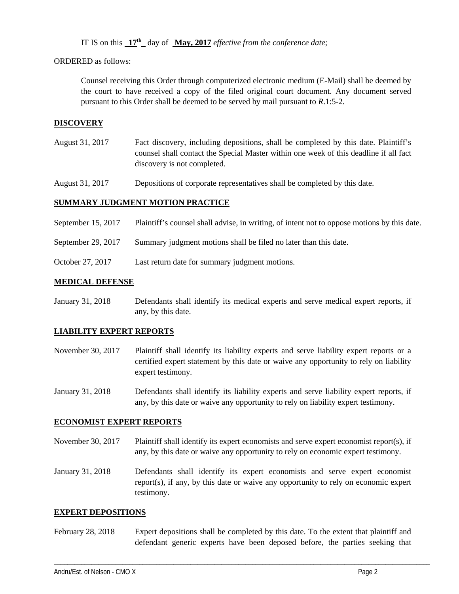IT IS on this  $17<sup>th</sup>$  day of **May, 2017** *effective from the conference date;* 

ORDERED as follows:

Counsel receiving this Order through computerized electronic medium (E-Mail) shall be deemed by the court to have received a copy of the filed original court document. Any document served pursuant to this Order shall be deemed to be served by mail pursuant to *R*.1:5-2.

## **DISCOVERY**

August 31, 2017 Fact discovery, including depositions, shall be completed by this date. Plaintiff's counsel shall contact the Special Master within one week of this deadline if all fact discovery is not completed.

August 31, 2017 Depositions of corporate representatives shall be completed by this date.

## **SUMMARY JUDGMENT MOTION PRACTICE**

- September 15, 2017 Plaintiff's counsel shall advise, in writing, of intent not to oppose motions by this date.
- September 29, 2017 Summary judgment motions shall be filed no later than this date.
- October 27, 2017 Last return date for summary judgment motions.

## **MEDICAL DEFENSE**

January 31, 2018 Defendants shall identify its medical experts and serve medical expert reports, if any, by this date.

## **LIABILITY EXPERT REPORTS**

- November 30, 2017 Plaintiff shall identify its liability experts and serve liability expert reports or a certified expert statement by this date or waive any opportunity to rely on liability expert testimony.
- January 31, 2018 Defendants shall identify its liability experts and serve liability expert reports, if any, by this date or waive any opportunity to rely on liability expert testimony.

#### **ECONOMIST EXPERT REPORTS**

November 30, 2017 Plaintiff shall identify its expert economists and serve expert economist report(s), if any, by this date or waive any opportunity to rely on economic expert testimony.

January 31, 2018 Defendants shall identify its expert economists and serve expert economist report(s), if any, by this date or waive any opportunity to rely on economic expert testimony.

#### **EXPERT DEPOSITIONS**

February 28, 2018 Expert depositions shall be completed by this date. To the extent that plaintiff and defendant generic experts have been deposed before, the parties seeking that

\_\_\_\_\_\_\_\_\_\_\_\_\_\_\_\_\_\_\_\_\_\_\_\_\_\_\_\_\_\_\_\_\_\_\_\_\_\_\_\_\_\_\_\_\_\_\_\_\_\_\_\_\_\_\_\_\_\_\_\_\_\_\_\_\_\_\_\_\_\_\_\_\_\_\_\_\_\_\_\_\_\_\_\_\_\_\_\_\_\_\_\_\_\_\_\_\_\_\_\_\_\_\_\_\_\_\_\_\_\_